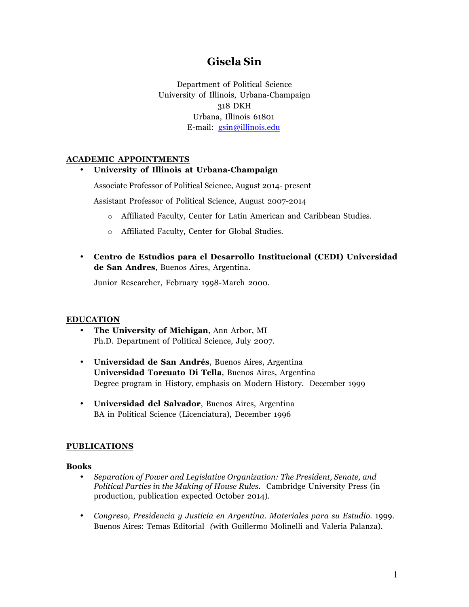# **Gisela Sin**

Department of Political Science University of Illinois, Urbana-Champaign 318 DKH Urbana, Illinois 61801 E-mail: gsin@illinois.edu

# **ACADEMIC APPOINTMENTS**

# • **University of Illinois at Urbana-Champaign**

Associate Professor of Political Science, August 2014- present

Assistant Professor of Political Science, August 2007-2014

- o Affiliated Faculty, Center for Latin American and Caribbean Studies.
- o Affiliated Faculty, Center for Global Studies.
- **Centro de Estudios para el Desarrollo Institucional (CEDI) Universidad de San Andres**, Buenos Aires, Argentina.

Junior Researcher, February 1998-March 2000.

#### **EDUCATION**

- **The University of Michigan**, Ann Arbor, MI Ph.D. Department of Political Science, July 2007.
- **Universidad de San Andrés**, Buenos Aires, Argentina **Universidad Torcuato Di Tella**, Buenos Aires, Argentina Degree program in History, emphasis on Modern History. December 1999
- **Universidad del Salvador**, Buenos Aires, Argentina BA in Political Science (Licenciatura), December 1996

#### **PUBLICATIONS**

#### **Books**

- *Separation of Power and Legislative Organization: The President, Senate, and Political Parties in the Making of House Rules*. Cambridge University Press (in production, publication expected October 2014).
- *Congreso, Presidencia y Justicia en Argentina. Materiales para su Estudio.* 1999. Buenos Aires: Temas Editorial *(*with Guillermo Molinelli and Valeria Palanza)*.*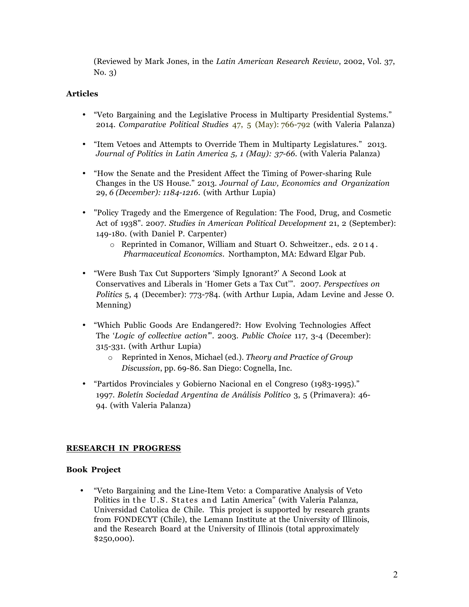(Reviewed by Mark Jones, in the *Latin American Research Review*, 2002, Vol. 37, No. 3)

## **Articles**

- "Veto Bargaining and the Legislative Process in Multiparty Presidential Systems." 2014. *Comparative Political Studies* 47, 5 (May): 766-792 (with Valeria Palanza)
- "Item Vetoes and Attempts to Override Them in Multiparty Legislatures." 2013. *Journal of Politics in Latin America 5, 1 (May): 37-66.* (with Valeria Palanza)
- "How the Senate and the President Affect the Timing of Power-sharing Rule Changes in the US House." 2013. *Journal of Law, Economics and Organization* 29, *6 (December): 1184-1216.* (with Arthur Lupia)
- "Policy Tragedy and the Emergence of Regulation: The Food, Drug, and Cosmetic Act of 1938". 2007. *Studies in American Political Development* 21, 2 (September): 149-180. (with Daniel P. Carpenter)
	- o Reprinted in Comanor, William and Stuart O. Schweitzer., eds. 2014. *Pharmaceutical Economics*. Northampton, MA: Edward Elgar Pub.
- "Were Bush Tax Cut Supporters 'Simply Ignorant?' A Second Look at Conservatives and Liberals in 'Homer Gets a Tax Cut'". 2007. *Perspectives on Politics* 5, 4 (December): 773-784. (with Arthur Lupia, Adam Levine and Jesse O. Menning)
- "Which Public Goods Are Endangered?: How Evolving Technologies Affect The '*Logic of collective action'*". 2003. *Public Choice* 117, 3-4 (December): 315-331. (with Arthur Lupia)
	- o Reprinted in Xenos, Michael (ed.). *Theory and Practice of Group Discussion*, pp. 69-86. San Diego: Cognella, Inc.
- "Partidos Provinciales y Gobierno Nacional en el Congreso (1983-1995)." 1997. *Boletín Sociedad Argentina de Análisis Político* 3, 5 (Primavera): 46- 94. (with Valeria Palanza)

#### **RESEARCH IN PROGRESS**

#### **Book Project**

• "Veto Bargaining and the Line-Item Veto: a Comparative Analysis of Veto Politics in the U.S. States and Latin America" (with Valeria Palanza, Universidad Catolica de Chile. This project is supported by research grants from FONDECYT (Chile), the Lemann Institute at the University of Illinois, and the Research Board at the University of Illinois (total approximately \$250,000).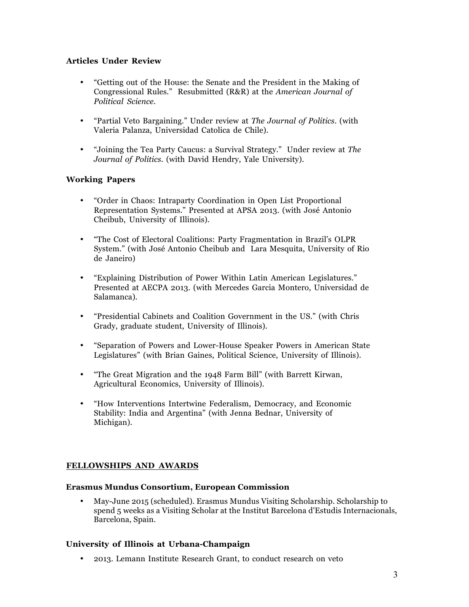# **Articles Under Review**

- "Getting out of the House: the Senate and the President in the Making of Congressional Rules." Resubmitted (R&R) at the *American Journal of Political Science*.
- "Partial Veto Bargaining." Under review at *The Journal of Politics*. (with Valeria Palanza, Universidad Catolica de Chile).
- "Joining the Tea Party Caucus: a Survival Strategy." Under review at *The Journal of Politics*. (with David Hendry, Yale University).

# **Working Papers**

- "Order in Chaos: Intraparty Coordination in Open List Proportional Representation Systems." Presented at APSA 2013. (with José Antonio Cheibub, University of Illinois).
- "The Cost of Electoral Coalitions: Party Fragmentation in Brazil's OLPR System." (with José Antonio Cheibub and Lara Mesquita, University of Rio de Janeiro)
- "Explaining Distribution of Power Within Latin American Legislatures." Presented at AECPA 2013. (with Mercedes Garcia Montero, Universidad de Salamanca).
- "Presidential Cabinets and Coalition Government in the US." (with Chris Grady, graduate student, University of Illinois).
- "Separation of Powers and Lower-House Speaker Powers in American State Legislatures" (with Brian Gaines, Political Science, University of Illinois).
- "The Great Migration and the 1948 Farm Bill" (with Barrett Kirwan, Agricultural Economics, University of Illinois).
- "How Interventions Intertwine Federalism, Democracy, and Economic Stability: India and Argentina" (with Jenna Bednar, University of Michigan).

# **FELLOWSHIPS AND AWARDS**

#### **Erasmus Mundus Consortium, European Commission**

• May-June 2015 (scheduled). Erasmus Mundus Visiting Scholarship. Scholarship to spend 5 weeks as a Visiting Scholar at the Institut Barcelona d'Estudis Internacionals, Barcelona, Spain.

# **University of Illinois at Urbana-Champaign**

• 2013. Lemann Institute Research Grant, to conduct research on veto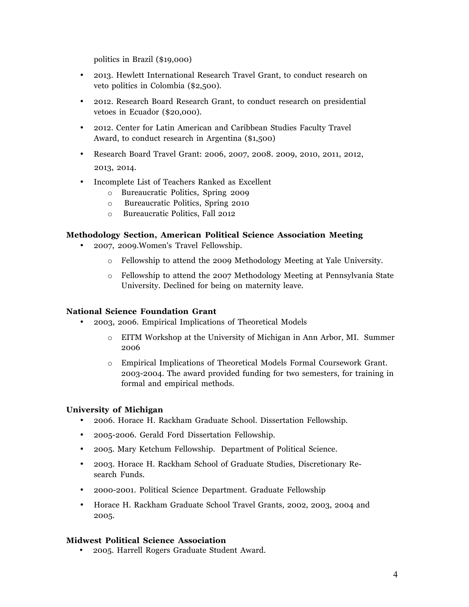politics in Brazil (\$19,000)

- 2013. Hewlett International Research Travel Grant, to conduct research on veto politics in Colombia (\$2,500).
- 2012. Research Board Research Grant, to conduct research on presidential vetoes in Ecuador (\$20,000).
- 2012. Center for Latin American and Caribbean Studies Faculty Travel Award, to conduct research in Argentina (\$1,500)
- Research Board Travel Grant: 2006, 2007, 2008. 2009, 2010, 2011, 2012, 2013, 2014.
- Incomplete List of Teachers Ranked as Excellent
	- o Bureaucratic Politics, Spring 2009
	- o Bureaucratic Politics, Spring 2010
	- o Bureaucratic Politics, Fall 2012

# **Methodology Section, American Political Science Association Meeting**

- 2007, 2009.Women's Travel Fellowship.
	- o Fellowship to attend the 2009 Methodology Meeting at Yale University.
	- o Fellowship to attend the 2007 Methodology Meeting at Pennsylvania State University. Declined for being on maternity leave.

#### **National Science Foundation Grant**

- 2003, 2006. Empirical Implications of Theoretical Models
	- o EITM Workshop at the University of Michigan in Ann Arbor, MI. Summer 2006
	- o Empirical Implications of Theoretical Models Formal Coursework Grant. 2003-2004. The award provided funding for two semesters, for training in formal and empirical methods.

# **University of Michigan**

- 2006. Horace H. Rackham Graduate School. Dissertation Fellowship.
- 2005-2006. Gerald Ford Dissertation Fellowship.
- 2005. Mary Ketchum Fellowship. Department of Political Science.
- 2003. Horace H. Rackham School of Graduate Studies, Discretionary Research Funds.
- 2000-2001. Political Science Department. Graduate Fellowship
- Horace H. Rackham Graduate School Travel Grants, 2002, 2003, 2004 and 2005.

#### **Midwest Political Science Association**

• 2005. Harrell Rogers Graduate Student Award.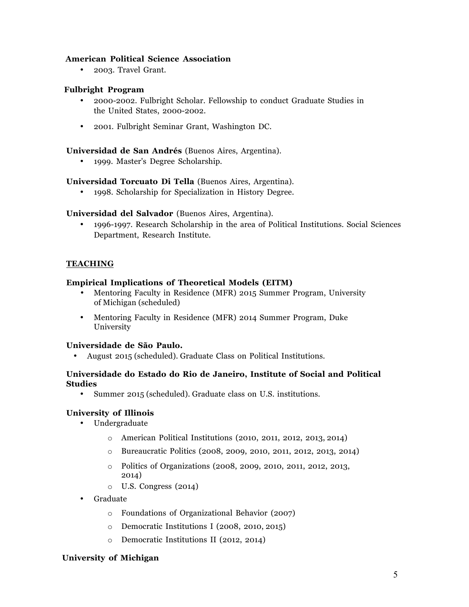# **American Political Science Association**

• 2003. Travel Grant.

## **Fulbright Program**

- 2000-2002. Fulbright Scholar. Fellowship to conduct Graduate Studies in the United States, 2000-2002.
- 2001. Fulbright Seminar Grant, Washington DC.

# **Universidad de San Andrés** (Buenos Aires, Argentina).

• 1999. Master's Degree Scholarship.

# **Universidad Torcuato Di Tella** (Buenos Aires, Argentina).

• 1998. Scholarship for Specialization in History Degree.

# **Universidad del Salvador** (Buenos Aires, Argentina).

• 1996-1997. Research Scholarship in the area of Political Institutions. Social Sciences Department, Research Institute.

# **TEACHING**

#### **Empirical Implications of Theoretical Models (EITM)**

- Mentoring Faculty in Residence (MFR) 2015 Summer Program, University of Michigan (scheduled)
- Mentoring Faculty in Residence (MFR) 2014 Summer Program, Duke University

# **Universidade de São Paulo.**

• August 2015 (scheduled). Graduate Class on Political Institutions.

#### **Universidade do Estado do Rio de Janeiro, Institute of Social and Political Studies**

• Summer 2015 (scheduled). Graduate class on U.S. institutions.

#### **University of Illinois**

- Undergraduate
	- o American Political Institutions (2010, 2011, 2012, 2013, 2014)
	- o Bureaucratic Politics (2008, 2009, 2010, 2011, 2012, 2013, 2014)
	- o Politics of Organizations (2008, 2009, 2010, 2011, 2012, 2013, 2014)
	- o U.S. Congress (2014)
- Graduate
	- o Foundations of Organizational Behavior (2007)
	- o Democratic Institutions I (2008, 2010, 2015)
	- o Democratic Institutions II (2012, 2014)

#### **University of Michigan**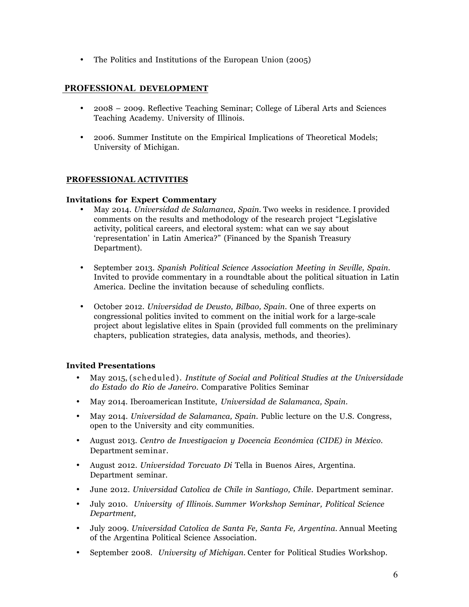• The Politics and Institutions of the European Union (2005)

# **PROFESSIONAL DEVELOPMENT**

- 2008 2009. Reflective Teaching Seminar; College of Liberal Arts and Sciences Teaching Academy. University of Illinois.
- 2006. Summer Institute on the Empirical Implications of Theoretical Models; University of Michigan.

# **PROFESSIONAL ACTIVITIES**

#### **Invitations for Expert Commentary**

- May 2014. *Universidad de Salamanca, Spain.* Two weeks in residence. I provided comments on the results and methodology of the research project "Legislative activity, political careers, and electoral system: what can we say about 'representation' in Latin America?" (Financed by the Spanish Treasury Department).
- September 2013. *Spanish Political Science Association Meeting in Seville, Spain.* Invited to provide commentary in a roundtable about the political situation in Latin America. Decline the invitation because of scheduling conflicts.
- October 2012. *Universidad de Deusto, Bilbao, Spain*. One of three experts on congressional politics invited to comment on the initial work for a large-scale project about legislative elites in Spain (provided full comments on the preliminary chapters, publication strategies, data analysis, methods, and theories).

#### **Invited Presentations**

- May 2015, (scheduled). *Institute of Social and Political Studies at the Universidade do Estado do Rio de Janeiro.* Comparative Politics Seminar
- May 2014. Iberoamerican Institute, *Universidad de Salamanca, Spain*.
- May 2014. *Universidad de Salamanca, Spain*. Public lecture on the U.S. Congress, open to the University and city communities.
- August 2013. *Centro de Investigacion y Docencia Económica (CIDE) in México*. Department seminar.
- August 2012. *Universidad Torcuato Di* Tella in Buenos Aires, Argentina. Department seminar.
- June 2012. *Universidad Catolica de Chile in Santiago, Chile*. Department seminar.
- July 2010*. University of Illinois. Summer Workshop Seminar, Political Science Department,*
- July 2009. *Universidad Catolica de Santa Fe, Santa Fe, Argentina*. Annual Meeting of the Argentina Political Science Association.
- September 2008. *University of Michigan.* Center for Political Studies Workshop.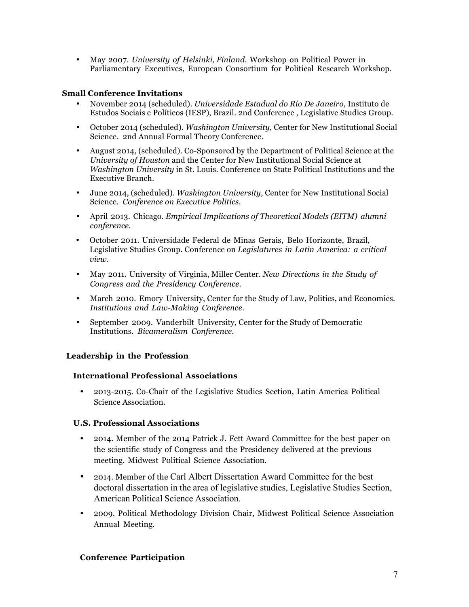• May 2007. *University of Helsinki, Finland*. Workshop on Political Power in Parliamentary Executives, European Consortium for Political Research Workshop.

# **Small Conference Invitations**

- November 2014 (scheduled). *Universidade Estadual do Rio De Janeiro,* Instituto de Estudos Sociais e Políticos (IESP), Brazil. 2nd Conference , Legislative Studies Group.
- October 2014 (scheduled). *Washington University*, Center for New Institutional Social Science. 2nd Annual Formal Theory Conference.
- August 2014, (scheduled). Co-Sponsored by the Department of Political Science at the *University of Houston* and the Center for New Institutional Social Science at *Washington University* in St. Louis. Conference on State Political Institutions and the Executive Branch.
- June 2014, (scheduled). *Washington University*, Center for New Institutional Social Science. *Conference on Executive Politics*.
- April 2013. Chicago*. Empirical Implications of Theoretical Models (EITM) alumni conference.*
- October 2011. Universidade Federal de Minas Gerais, Belo Horizonte, Brazil, Legislative Studies Group. Conference on *Legislatures in Latin America: a critical view.*
- May 2011. University of Virginia, Miller Center*. New Directions in the Study of Congress and the Presidency Conference*.
- March 2010. Emory University, Center for the Study of Law, Politics, and Economics*. Institutions and Law-Making Conference.*
- September 2009. Vanderbilt University, Center for the Study of Democratic Institutions. *Bicameralism Conference.*

# **Leadership in the Profession**

#### **International Professional Associations**

• 2013-2015. Co-Chair of the Legislative Studies Section, Latin America Political Science Association.

#### **U.S. Professional Associations**

- 2014. Member of the 2014 Patrick J. Fett Award Committee for the best paper on the scientific study of Congress and the Presidency delivered at the previous meeting. Midwest Political Science Association.
- 2014. Member of the Carl Albert Dissertation Award Committee for the best doctoral dissertation in the area of legislative studies, Legislative Studies Section, American Political Science Association.
- 2009. Political Methodology Division Chair, Midwest Political Science Association Annual Meeting.

#### **Conference Participation**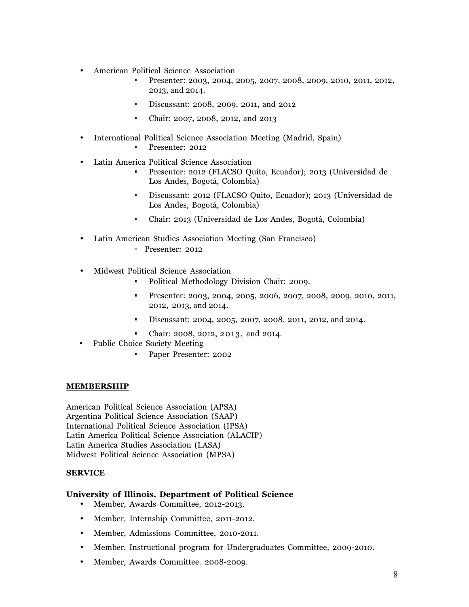- American Political Science Association
	- §§ Presenter: 2003, 2004, 2005, 2007, 2008, 2009, 2010, 2011, 2012, 2013, and 2014.
	- §§ Discussant: 2008, 2009, 2011, and 2012
	- §§ Chair: 2007, 2008, 2012, and 2013
- International Political Science Association Meeting (Madrid, Spain)
	- §§ Presenter: 2012
- Latin America Political Science Association
	- §§ Presenter: 2012 (FLACSO Quito, Ecuador); 2013 (Universidad de Los Andes, Bogotá, Colombia)
	- §§ Discussant: 2012 (FLACSO Quito, Ecuador); 2013 (Universidad de Los Andes, Bogotá, Colombia)
	- §§ Chair: 2013 (Universidad de Los Andes, Bogotá, Colombia)
- Latin American Studies Association Meeting (San Francisco)
	- §§ Presenter: 2012
- Midwest Political Science Association
	- §§ Political Methodology Division Chair: 2009.
	- §§ Presenter: 2003, 2004, 2005, 2006, 2007, 2008, 2009, 2010, 2011, 2012, 2013, and 2014.
	- §§ Discussant: 2004, 2005, 2007, 2008, 2011, 2012, and 2014.
	- §§ Chair: 2008, 2012, 2013, and 2014.
- Public Choice Society Meeting
	- §§ Paper Presenter: 2002

#### **MEMBERSHIP**

American Political Science Association (APSA) Argentina Political Science Association (SAAP) International Political Science Association (IPSA) Latin America Political Science Association (ALACIP) Latin America Studies Association (LASA) Midwest Political Science Association (MPSA)

#### **SERVICE**

#### **University of Illinois, Department of Political Science**

- Member, Awards Committee, 2012-2013.
- Member, Internship Committee, 2011-2012.
- Member, Admissions Committee, 2010-2011.
- Member, Instructional program for Undergraduates Committee, 2009-2010.
- Member, Awards Committee. 2008-2009.